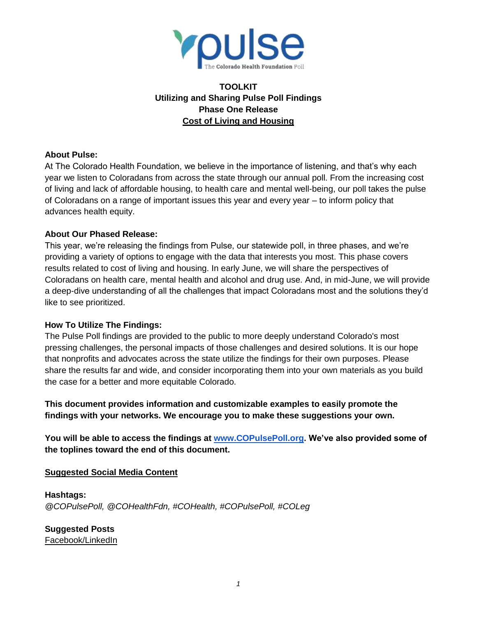

# **TOOLKIT Utilizing and Sharing Pulse Poll Findings Phase One Release Cost of Living and Housing**

#### **About Pulse:**

At The Colorado Health Foundation, we believe in the importance of listening, and that's why each year we listen to Coloradans from across the state through our annual poll. From the increasing cost of living and lack of affordable housing, to health care and mental well-being, our poll takes the pulse of Coloradans on a range of important issues this year and every year – to inform policy that advances health equity.

#### **About Our Phased Release:**

This year, we're releasing the findings from Pulse, our statewide poll, in three phases, and we're providing a variety of options to engage with the data that interests you most. This phase covers results related to cost of living and housing. In early June, we will share the perspectives of Coloradans on health care, mental health and alcohol and drug use. And, in mid-June, we will provide a deep-dive understanding of all the challenges that impact Coloradans most and the solutions they'd like to see prioritized.

### **How To Utilize The Findings:**

The Pulse Poll findings are provided to the public to more deeply understand Colorado's most pressing challenges, the personal impacts of those challenges and desired solutions. It is our hope that nonprofits and advocates across the state utilize the findings for their own purposes. Please share the results far and wide, and consider incorporating them into your own materials as you build the case for a better and more equitable Colorado.

**This document provides information and customizable examples to easily promote the findings with your networks. We encourage you to make these suggestions your own.**

**You will be able to access the findings at [www.COPulsePoll.org.](http://www.copulsepoll.org/) We've also provided some of the toplines toward the end of this document.**

### **Suggested Social Media Content**

**Hashtags:** *@COPulsePoll, @COHealthFdn, #COHealth, #COPulsePoll, #COLeg*

**Suggested Posts**  Facebook/LinkedIn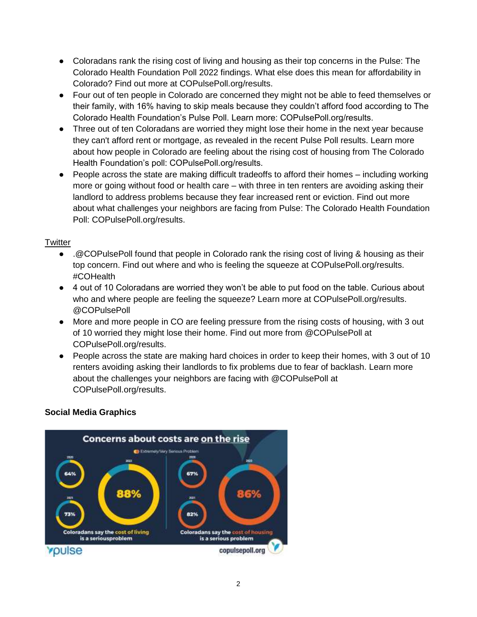- Coloradans rank the rising cost of living and housing as their top concerns in the Pulse: The Colorado Health Foundation Poll 2022 findings. What else does this mean for affordability in Colorado? Find out more at COPulsePoll.org/results.
- Four out of ten people in Colorado are concerned they might not be able to feed themselves or their family, with 16% having to skip meals because they couldn't afford food according to The Colorado Health Foundation's Pulse Poll. Learn more: COPulsePoll.org/results.
- Three out of ten Coloradans are worried they might lose their home in the next year because they can't afford rent or mortgage, as revealed in the recent Pulse Poll results. Learn more about how people in Colorado are feeling about the rising cost of housing from The Colorado Health Foundation's poll: COPulsePoll.org/results.
- People across the state are making difficult tradeoffs to afford their homes including working more or going without food or health care – with three in ten renters are avoiding asking their landlord to address problems because they fear increased rent or eviction. Find out more about what challenges your neighbors are facing from Pulse: The Colorado Health Foundation Poll: COPulsePoll.org/results.

#### **Twitter**

- .@COPulsePoll found that people in Colorado rank the rising cost of living & housing as their top concern. Find out where and who is feeling the squeeze at COPulsePoll.org/results. #COHealth
- 4 out of 10 Coloradans are worried they won't be able to put food on the table. Curious about who and where people are feeling the squeeze? Learn more at COPulsePoll.org/results. @COPulsePoll
- More and more people in CO are feeling pressure from the rising costs of housing, with 3 out of 10 worried they might lose their home. Find out more from @COPulsePoll at COPulsePoll.org/results.
- People across the state are making hard choices in order to keep their homes, with 3 out of 10 renters avoiding asking their landlords to fix problems due to fear of backlash. Learn more about the challenges your neighbors are facing with @COPulsePoll at COPulsePoll.org/results.

### **Social Media Graphics**

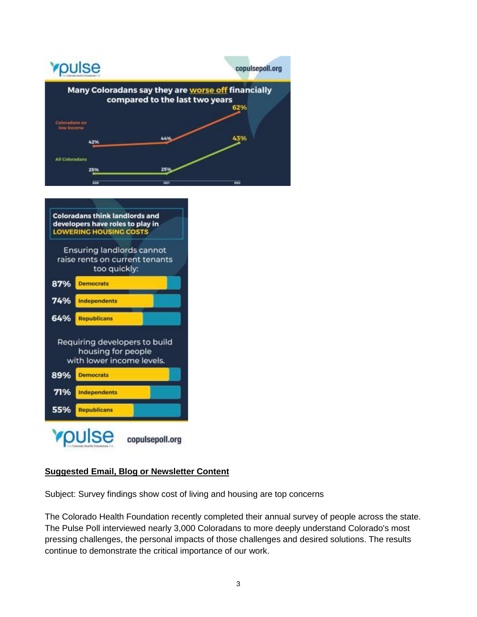



### **Suggested Email, Blog or Newsletter Content**

Subject: Survey findings show cost of living and housing are top concerns

The Colorado Health Foundation recently completed their annual survey of people across the state. The Pulse Poll interviewed nearly 3,000 Coloradans to more deeply understand Colorado's most pressing challenges, the personal impacts of those challenges and desired solutions. The results continue to demonstrate the critical importance of our work.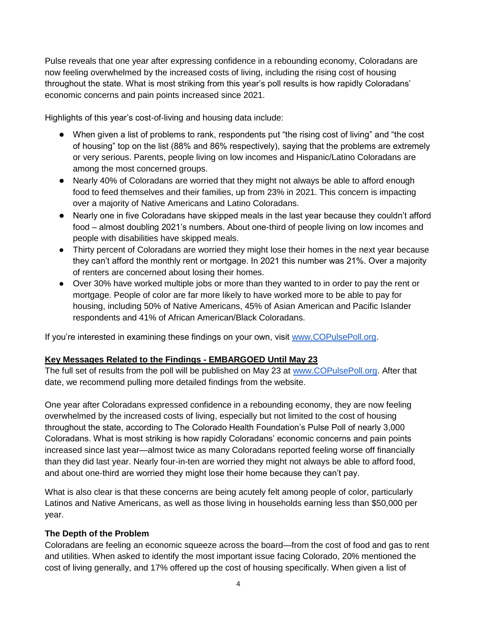Pulse reveals that one year after expressing confidence in a rebounding economy, Coloradans are now feeling overwhelmed by the increased costs of living, including the rising cost of housing throughout the state. What is most striking from this year's poll results is how rapidly Coloradans' economic concerns and pain points increased since 2021.

Highlights of this year's cost-of-living and housing data include:

- When given a list of problems to rank, respondents put "the rising cost of living" and "the cost of housing" top on the list (88% and 86% respectively), saying that the problems are extremely or very serious. Parents, people living on low incomes and Hispanic/Latino Coloradans are among the most concerned groups.
- Nearly 40% of Coloradans are worried that they might not always be able to afford enough food to feed themselves and their families, up from 23% in 2021. This concern is impacting over a majority of Native Americans and Latino Coloradans.
- Nearly one in five Coloradans have skipped meals in the last year because they couldn't afford food – almost doubling 2021's numbers. About one-third of people living on low incomes and people with disabilities have skipped meals.
- Thirty percent of Coloradans are worried they might lose their homes in the next year because they can't afford the monthly rent or mortgage. In 2021 this number was 21%. Over a majority of renters are concerned about losing their homes.
- Over 30% have worked multiple jobs or more than they wanted to in order to pay the rent or mortgage. People of color are far more likely to have worked more to be able to pay for housing, including 50% of Native Americans, 45% of Asian American and Pacific Islander respondents and 41% of African American/Black Coloradans.

If you're interested in examining these findings on your own, visit [www.COPulsePoll.org.](http://www.copulsepoll.org/)

# **Key Messages Related to the Findings - EMBARGOED Until May 23**

The full set of results from the poll will be published on May 23 at [www.COPulsePoll.org.](http://www.copulsepoll.org/) After that date, we recommend pulling more detailed findings from the website.

One year after Coloradans expressed confidence in a rebounding economy, they are now feeling overwhelmed by the increased costs of living, especially but not limited to the cost of housing throughout the state, according to The Colorado Health Foundation's Pulse Poll of nearly 3,000 Coloradans. What is most striking is how rapidly Coloradans' economic concerns and pain points increased since last year—almost twice as many Coloradans reported feeling worse off financially than they did last year. Nearly four-in-ten are worried they might not always be able to afford food, and about one-third are worried they might lose their home because they can't pay.

What is also clear is that these concerns are being acutely felt among people of color, particularly Latinos and Native Americans, as well as those living in households earning less than \$50,000 per year.

### **The Depth of the Problem**

Coloradans are feeling an economic squeeze across the board—from the cost of food and gas to rent and utilities. When asked to identify the most important issue facing Colorado, 20% mentioned the cost of living generally, and 17% offered up the cost of housing specifically. When given a list of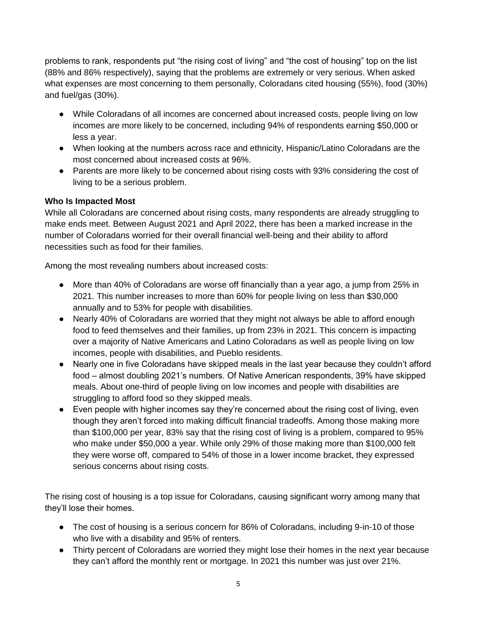problems to rank, respondents put "the rising cost of living" and "the cost of housing" top on the list (88% and 86% respectively), saying that the problems are extremely or very serious. When asked what expenses are most concerning to them personally, Coloradans cited housing (55%), food (30%) and fuel/gas (30%).

- While Coloradans of all incomes are concerned about increased costs, people living on low incomes are more likely to be concerned, including 94% of respondents earning \$50,000 or less a year.
- When looking at the numbers across race and ethnicity, Hispanic/Latino Coloradans are the most concerned about increased costs at 96%.
- Parents are more likely to be concerned about rising costs with 93% considering the cost of living to be a serious problem.

### **Who Is Impacted Most**

While all Coloradans are concerned about rising costs, many respondents are already struggling to make ends meet. Between August 2021 and April 2022, there has been a marked increase in the number of Coloradans worried for their overall financial well-being and their ability to afford necessities such as food for their families.

Among the most revealing numbers about increased costs:

- More than 40% of Coloradans are worse off financially than a year ago, a jump from 25% in 2021. This number increases to more than 60% for people living on less than \$30,000 annually and to 53% for people with disabilities.
- Nearly 40% of Coloradans are worried that they might not always be able to afford enough food to feed themselves and their families, up from 23% in 2021. This concern is impacting over a majority of Native Americans and Latino Coloradans as well as people living on low incomes, people with disabilities, and Pueblo residents.
- Nearly one in five Coloradans have skipped meals in the last year because they couldn't afford food – almost doubling 2021's numbers. Of Native American respondents, 39% have skipped meals. About one-third of people living on low incomes and people with disabilities are struggling to afford food so they skipped meals.
- Even people with higher incomes say they're concerned about the rising cost of living, even though they aren't forced into making difficult financial tradeoffs. Among those making more than \$100,000 per year, 83% say that the rising cost of living is a problem, compared to 95% who make under \$50,000 a year. While only 29% of those making more than \$100,000 felt they were worse off, compared to 54% of those in a lower income bracket, they expressed serious concerns about rising costs.

The rising cost of housing is a top issue for Coloradans, causing significant worry among many that they'll lose their homes.

- The cost of housing is a serious concern for 86% of Coloradans, including 9-in-10 of those who live with a disability and 95% of renters.
- Thirty percent of Coloradans are worried they might lose their homes in the next year because they can't afford the monthly rent or mortgage. In 2021 this number was just over 21%.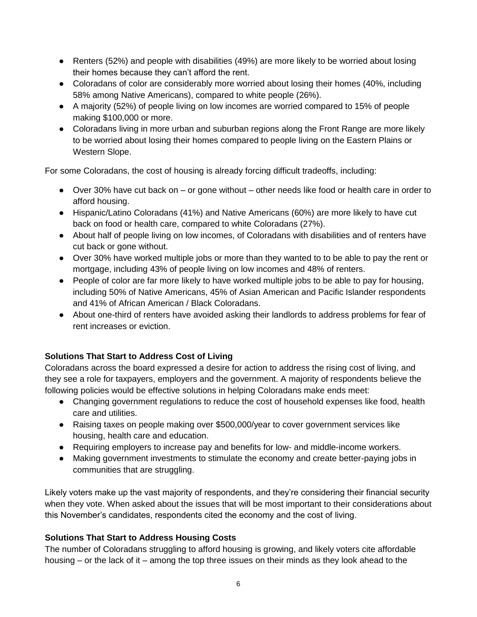- Renters (52%) and people with disabilities (49%) are more likely to be worried about losing their homes because they can't afford the rent.
- Coloradans of color are considerably more worried about losing their homes (40%, including 58% among Native Americans), compared to white people (26%).
- A majority (52%) of people living on low incomes are worried compared to 15% of people making \$100,000 or more.
- Coloradans living in more urban and suburban regions along the Front Range are more likely to be worried about losing their homes compared to people living on the Eastern Plains or Western Slope.

For some Coloradans, the cost of housing is already forcing difficult tradeoffs, including:

- Over 30% have cut back on or gone without other needs like food or health care in order to afford housing.
- Hispanic/Latino Coloradans (41%) and Native Americans (60%) are more likely to have cut back on food or health care, compared to white Coloradans (27%).
- About half of people living on low incomes, of Coloradans with disabilities and of renters have cut back or gone without.
- Over 30% have worked multiple jobs or more than they wanted to to be able to pay the rent or mortgage, including 43% of people living on low incomes and 48% of renters.
- People of color are far more likely to have worked multiple jobs to be able to pay for housing, including 50% of Native Americans, 45% of Asian American and Pacific Islander respondents and 41% of African American / Black Coloradans.
- About one-third of renters have avoided asking their landlords to address problems for fear of rent increases or eviction.

# **Solutions That Start to Address Cost of Living**

Coloradans across the board expressed a desire for action to address the rising cost of living, and they see a role for taxpayers, employers and the government. A majority of respondents believe the following policies would be effective solutions in helping Coloradans make ends meet:

- Changing government regulations to reduce the cost of household expenses like food, health care and utilities.
- Raising taxes on people making over \$500,000/year to cover government services like housing, health care and education.
- Requiring employers to increase pay and benefits for low- and middle-income workers.
- Making government investments to stimulate the economy and create better-paying jobs in communities that are struggling.

Likely voters make up the vast majority of respondents, and they're considering their financial security when they vote. When asked about the issues that will be most important to their considerations about this November's candidates, respondents cited the economy and the cost of living.

# **Solutions That Start to Address Housing Costs**

The number of Coloradans struggling to afford housing is growing, and likely voters cite affordable housing – or the lack of it – among the top three issues on their minds as they look ahead to the